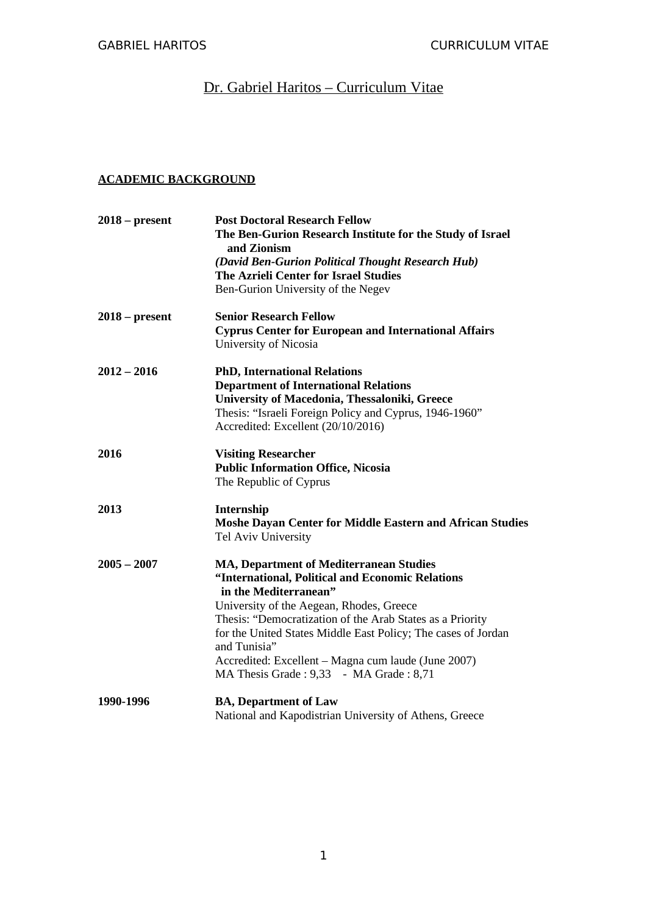# Dr. Gabriel Haritos - Curriculum Vitae

# **ACADEMIC BACKGROUND**

| $2018 - present$ | <b>Post Doctoral Research Fellow</b>                                          |
|------------------|-------------------------------------------------------------------------------|
|                  | The Ben-Gurion Research Institute for the Study of Israel<br>and Zionism      |
|                  | (David Ben-Gurion Political Thought Research Hub)                             |
|                  | <b>The Azrieli Center for Israel Studies</b>                                  |
|                  | Ben-Gurion University of the Negev                                            |
| $2018$ – present | <b>Senior Research Fellow</b>                                                 |
|                  | <b>Cyprus Center for European and International Affairs</b>                   |
|                  | University of Nicosia                                                         |
| $2012 - 2016$    | <b>PhD, International Relations</b>                                           |
|                  | <b>Department of International Relations</b>                                  |
|                  | University of Macedonia, Thessaloniki, Greece                                 |
|                  | Thesis: "Israeli Foreign Policy and Cyprus, 1946-1960"                        |
|                  | Accredited: Excellent (20/10/2016)                                            |
| 2016             | <b>Visiting Researcher</b>                                                    |
|                  | <b>Public Information Office, Nicosia</b>                                     |
|                  | The Republic of Cyprus                                                        |
| 2013             | Internship                                                                    |
|                  | Moshe Dayan Center for Middle Eastern and African Studies                     |
|                  | <b>Tel Aviv University</b>                                                    |
| $2005 - 2007$    | MA, Department of Mediterranean Studies                                       |
|                  | "International, Political and Economic Relations                              |
|                  | in the Mediterranean"                                                         |
|                  | University of the Aegean, Rhodes, Greece                                      |
|                  | Thesis: "Democratization of the Arab States as a Priority                     |
|                  | for the United States Middle East Policy; The cases of Jordan<br>and Tunisia" |
|                  | Accredited: Excellent - Magna cum laude (June 2007)                           |
|                  | MA Thesis Grade: 9,33 - MA Grade: 8,71                                        |
| 1990-1996        | <b>BA, Department of Law</b>                                                  |
|                  | National and Kapodistrian University of Athens, Greece                        |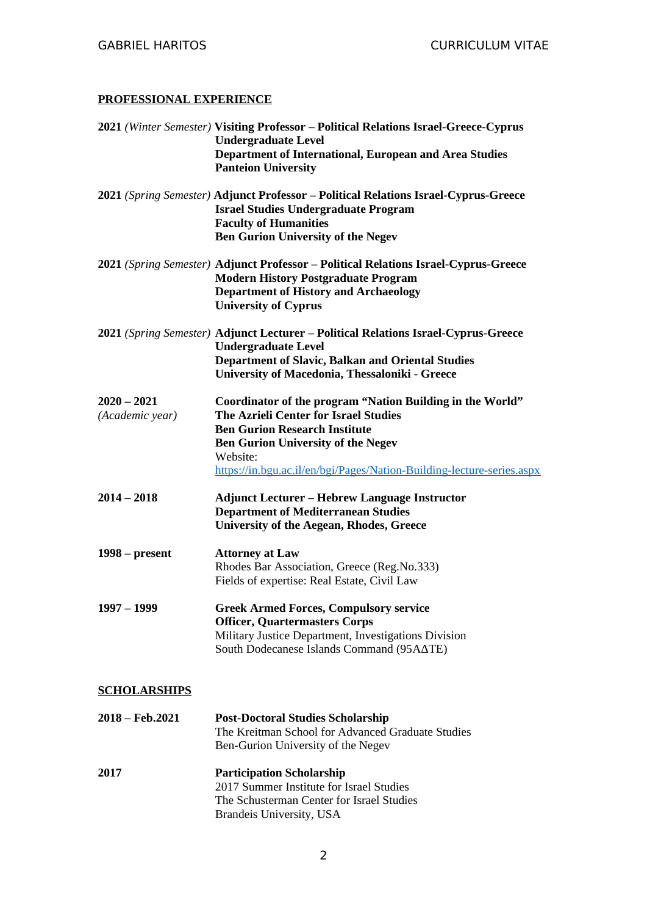### **PROFESSIONAL EXPERIENCE**

|                                  | 2021 (Winter Semester) Visiting Professor - Political Relations Israel-Greece-Cyprus<br><b>Undergraduate Level</b><br>Department of International, European and Area Studies<br><b>Panteion University</b>                                                                                 |
|----------------------------------|--------------------------------------------------------------------------------------------------------------------------------------------------------------------------------------------------------------------------------------------------------------------------------------------|
|                                  | 2021 (Spring Semester) Adjunct Professor - Political Relations Israel-Cyprus-Greece<br><b>Israel Studies Undergraduate Program</b><br><b>Faculty of Humanities</b><br><b>Ben Gurion University of the Negev</b>                                                                            |
|                                  | 2021 (Spring Semester) Adjunct Professor - Political Relations Israel-Cyprus-Greece<br><b>Modern History Postgraduate Program</b><br><b>Department of History and Archaeology</b><br><b>University of Cyprus</b>                                                                           |
|                                  | 2021 (Spring Semester) Adjunct Lecturer - Political Relations Israel-Cyprus-Greece<br><b>Undergraduate Level</b><br><b>Department of Slavic, Balkan and Oriental Studies</b><br>University of Macedonia, Thessaloniki - Greece                                                             |
| $2020 - 2021$<br>(Academic year) | <b>Coordinator of the program "Nation Building in the World"</b><br><b>The Azrieli Center for Israel Studies</b><br><b>Ben Gurion Research Institute</b><br><b>Ben Gurion University of the Negev</b><br>Website:<br>https://in.bgu.ac.il/en/bgi/Pages/Nation-Building-lecture-series.aspx |
| $2014 - 2018$                    | <b>Adjunct Lecturer – Hebrew Language Instructor</b><br><b>Department of Mediterranean Studies</b><br><b>University of the Aegean, Rhodes, Greece</b>                                                                                                                                      |
| $1998 - present$                 | <b>Attorney at Law</b><br>Rhodes Bar Association, Greece (Reg.No.333)<br>Fields of expertise: Real Estate, Civil Law                                                                                                                                                                       |
| $1997 - 1999$                    | <b>Greek Armed Forces, Compulsory service</b><br><b>Officer, Quartermasters Corps</b><br>Military Justice Department, Investigations Division<br>South Dodecanese Islands Command (95ΑΔΤΕ)                                                                                                 |
| <b>SCHOLARSHIPS</b>              |                                                                                                                                                                                                                                                                                            |
| $2018 - Feb.2021$                | <b>Post-Doctoral Studies Scholarship</b><br>The Kreitman School for Advanced Graduate Studies<br>Ben-Gurion University of the Negev                                                                                                                                                        |

**2017 Participation Scholarship** 2017 Summer Institute for Israel Studies The Schusterman Center for Israel Studies Brandeis University, USA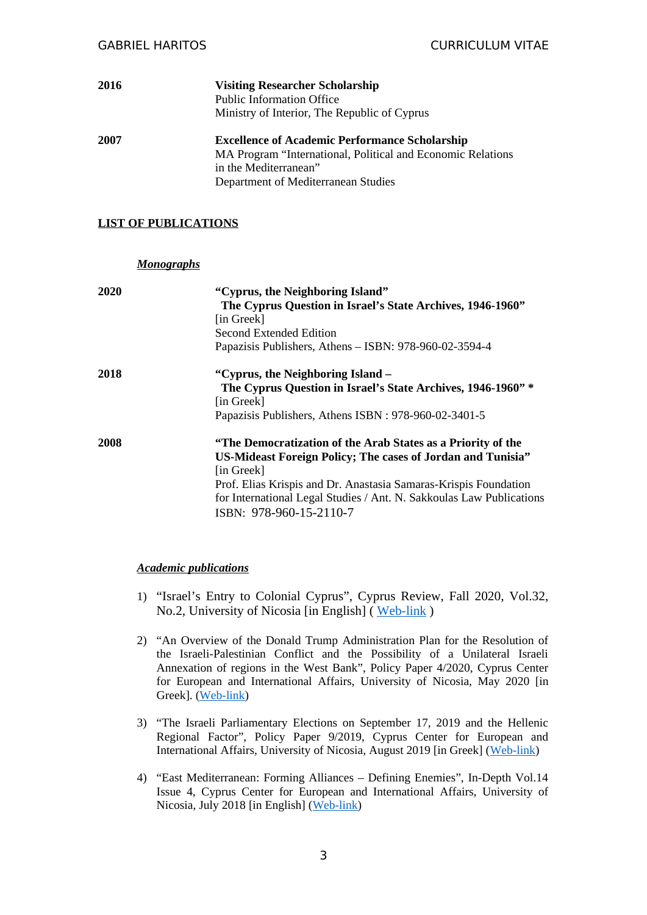| 2016 | <b>Visiting Researcher Scholarship</b><br><b>Public Information Office</b><br>Ministry of Interior, The Republic of Cyprus                                                           |
|------|--------------------------------------------------------------------------------------------------------------------------------------------------------------------------------------|
| 2007 | <b>Excellence of Academic Performance Scholarship</b><br>MA Program "International, Political and Economic Relations<br>in the Mediterranean"<br>Department of Mediterranean Studies |

#### **LIST OF PUBLICATIONS**

*Monographs*

|      | <u>1101109100010</u>                                                                                                                                                                                                                                                                                             |
|------|------------------------------------------------------------------------------------------------------------------------------------------------------------------------------------------------------------------------------------------------------------------------------------------------------------------|
| 2020 | "Cyprus, the Neighboring Island"<br>The Cyprus Question in Israel's State Archives, 1946-1960"<br>[in Greek]<br>Second Extended Edition<br>Papazisis Publishers, Athens - ISBN: 978-960-02-3594-4                                                                                                                |
| 2018 | "Cyprus, the Neighboring Island –<br>The Cyprus Question in Israel's State Archives, 1946-1960" *<br>[in Greek]<br>Papazisis Publishers, Athens ISBN: 978-960-02-3401-5                                                                                                                                          |
| 2008 | "The Democratization of the Arab States as a Priority of the<br>US-Mideast Foreign Policy; The cases of Jordan and Tunisia"<br>[in Greek]<br>Prof. Elias Krispis and Dr. Anastasia Samaras-Krispis Foundation<br>for International Legal Studies / Ant. N. Sakkoulas Law Publications<br>ISBN: 978-960-15-2110-7 |

#### *Academic publications*

- 1) "Israel's Entry to Colonial Cyprus", Cyprus Review, Fall 2020, Vol.32, No.2, University of Nicosia [in English] ( [Web-link](http://cyprusreview.org/index.php/cr/article/view/751/613) )
- 2) "An Overview of the Donald Trump Administration Plan for the Resolution of the Israeli-Palestinian Conflict and the Possibility of a Unilateral Israeli Annexation of regions in the West Bank", Policy Paper 4/2020, Cyprus Center for European and International Affairs, University of Nicosia, May 2020 [in Greek]. ([Web-link](http://cceia.unic.ac.cy/wp-content/uploads/Policy-Paper-4_2020.pdf))
- 3) "The Israeli Parliamentary Elections on September 17, 2019 and the Hellenic Regional Factor", Policy Paper 9/2019, Cyprus Center for European and International Affairs, University of Nicosia, August 2019 [in Greek] ([Web-link\)](https://www.academia.edu/40186071/%CE%9F%CE%B9_%CE%B9%CF%83%CF%81%CE%B1%CE%B7%CE%BB%CE%B9%CE%BD%CE%AD%CF%82_%CE%BA%CE%BF%CE%B9%CE%BD%CE%BF%CE%B2%CE%BF%CF%85%CE%BB%CE%B5%CF%85%CF%84%CE%B9%CE%BA%CE%AD%CF%82_%CE%B5%CE%BA%CE%BB%CE%BF%CE%B3%CE%AD%CF%82_%CF%84%CE%B7%CF%82_17%CE%B7%CF%82_%CE%A3%CE%B5%CF%80%CF%84%CE%B5%CE%BC%CE%B2%CF%81%CE%AF%CE%BF%CF%85_2019_%CE%BA%CE%B1%CE%B9_%CE%BF_%CE%B5%CE%BB%CE%BB%CE%B7%CE%BD%CE%B9%CE%BA%CF%8C%CF%82_%CF%80%CE%B5%CF%81%CE%B9%CF%86%CE%B5%CF%81%CE%B5%CE%B9%CE%B1%CE%BA%CF%8C%CF%82_%CF%80%CE%B1%CF%81%CE%AC%CE%B3%CE%BF%CE%BD%CF%84%CE%B1%CF%82_-_The_Israeli_Parliamentary_Elections_on_September_17_2019_and_the_Greek_Regional_Factor_in_Greek_-_%D7%94%D7%91%D7%97%D7%99%D7%A8%D7%95%D7%AA_%D7%9C%D7%9B%D7%A0%D7%A1%D7%AA_%D7%94-22_%D7%95%D7%94%D7%92%D7%95%D7%A8%D7%9D_%D7%94%D7%99%D7%95%D7%95%D7%A0%D7%99-%D7%90%D7%96%D7%95%D7%A8%D7%99._%D7%91%D7%99%D7%95%D7%95%D7%A0%D7%99%D7%AA)
- 4) "East Mediterranean: Forming Alliances Defining Enemies", In-Depth Vol.14 Issue 4, Cyprus Center for European and International Affairs, University of Nicosia, July 2018 [in English] ([Web-link](https://www.academia.edu/37820089/East_Mediterranean_Forming_Aliances_-_Defining_Enemies))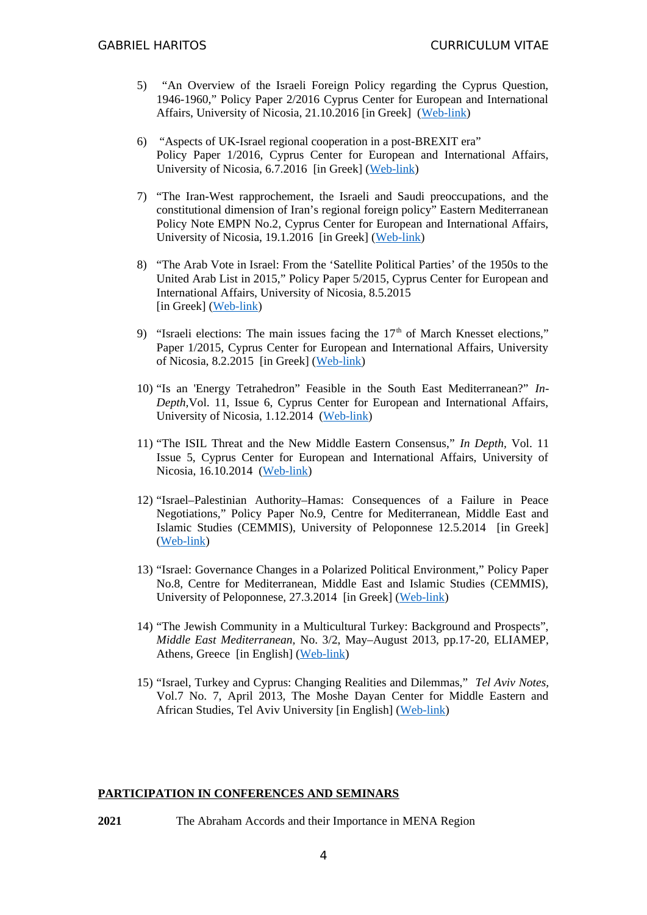- 5) "An Overview of the Israeli Foreign Policy regarding the Cyprus Question, 1946-1960," Policy Paper 2/2016 Cyprus Center for European and International Affairs, University of Nicosia, 21.10.2016 [in Greek] ([Web-link](http://cceia.unic.ac.cy/wp-content/uploads/Policy-Paper_2-2016.pdf))
- 6) "Aspects of UK-Israel regional cooperation in a post-BREXIT era" Policy Paper 1/2016, Cyprus Center for European and International Affairs, University of Nicosia, 6.7.2016 [in Greek] [\(Web-link\)](http://cceia.unic.ac.cy/wp-content/uploads/PolicyPaper_1-2016.pdf)
- 7) "The Iran-West rapprochement, the Israeli and Saudi preoccupations, and the constitutional dimension of Iran's regional foreign policy" Eastern Mediterranean Policy Note EMPN No.2, Cyprus Center for European and International Affairs, University of Nicosia, 19.1.2016 [in Greek] ([Web-link](http://cceia.unic.ac.cy/wp-content/uploads/EMPN_2_GR.pdf))
- 8) "The Arab Vote in Israel: From the 'Satellite Political Parties' of the 1950s to the United Arab List in 2015," Policy Paper 5/2015, Cyprus Center for European and International Affairs, University of Nicosia, 8.5.2015 [in Greek] ([Web-link\)](http://cceia.unic.ac.cy/wp-content/uploads/Policy-Paper_5-2015.pdf)
- 9) "Israeli elections: The main issues facing the  $17<sup>th</sup>$  of March Knesset elections," Paper 1/2015, Cyprus Center for European and International Affairs, University of Nicosia, 8.2.2015 [in Greek] ([Web-link\)](http://cceia.unic.ac.cy/wp-content/uploads/note-1_2015_gr.pdf)
- 10) "Is an 'Energy Tetrahedron" Feasible in the South East Mediterranean?" *In-Depth,*Vol. 11, Issue 6, Cyprus Center for European and International Affairs, University of Nicosia, 1.12.2014 [\(Web-link](http://cceia.unic.ac.cy/volume-11-issue-6-g-haritos/))
- 11) "The ISIL Threat and the New Middle Eastern Consensus," *In Depth,* Vol. 11 Issue 5, Cyprus Center for European and International Affairs, University of Nicosia, 16.10.2014 ([Web-link](http://cceia.unic.ac.cy/volume-11-issue-5-g-haritos/))
- 12) "Israel–Palestinian Authority–Hamas: Consequences of a Failure in Peace Negotiations," Policy Paper No.9, Centre for Mediterranean, Middle East and Islamic Studies (CEMMIS), University of Peloponnese 12.5.2014 [in Greek] ([Web-link](http://www.cemmis.edu.gr/files/israil_palestiniaki_arxi_hamas_meta_thn_apotuxia_twn_eiphneytikwn_diapragmateusewn.pdf))
- 13) "Israel: Governance Changes in a Polarized Political Environment," Policy Paper No.8, Centre for Mediterranean, Middle East and Islamic Studies (CEMMIS), University of Peloponnese, 27.3.2014 [in Greek] ([Web-link](http://cemmis.edu.gr/files/israil_politeiakes_allages_en_mesw_okseias_kommatikhs_polwshs.pdf))
- 14) "The Jewish Community in a Multicultural Turkey: Background and Prospects", *Middle East Mediterranean,* No. 3/2, May–August 2013, pp.17-20, ELIAMEP, Athens, Greece [in English] ([Web-link\)](http://www.eliamep.gr/wp-content/uploads/2013/11/merp1.pdf)
- 15) "Israel, Turkey and Cyprus: Changing Realities and Dilemmas," *Tel Aviv Notes,* Vol.7 No. 7, April 2013, The Moshe Dayan Center for Middle Eastern and African Studies, Tel Aviv University [in English] [\(Web-link](http://dayan.org/content/tel-aviv-notes-cyprus-turkey-and-israel-changing-realities-and-dilemmas))

#### **PARTICIPATION IN CONFERENCES AND SEMINARS**

**2021** The Abraham Accords and their Importance in MENA Region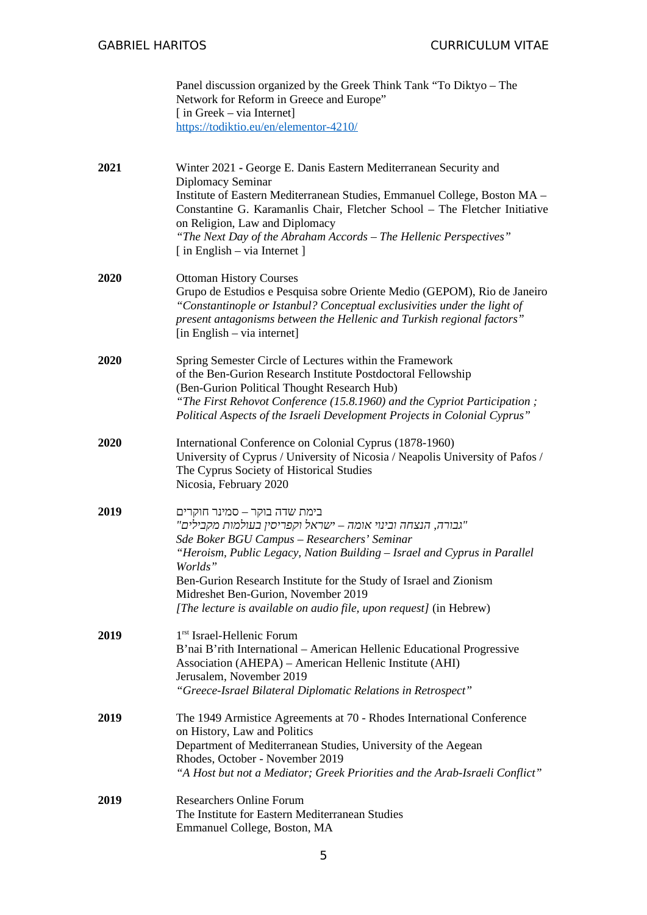|      | Panel discussion organized by the Greek Think Tank "To Diktyo - The<br>Network for Reform in Greece and Europe"<br>$\lceil$ in Greek – via Internet]<br>https://todiktio.eu/en/elementor-4210/                                                                                                                                                                                                                      |
|------|---------------------------------------------------------------------------------------------------------------------------------------------------------------------------------------------------------------------------------------------------------------------------------------------------------------------------------------------------------------------------------------------------------------------|
| 2021 | Winter 2021 - George E. Danis Eastern Mediterranean Security and<br>Diplomacy Seminar<br>Institute of Eastern Mediterranean Studies, Emmanuel College, Boston MA -<br>Constantine G. Karamanlis Chair, Fletcher School - The Fletcher Initiative<br>on Religion, Law and Diplomacy<br>"The Next Day of the Abraham Accords - The Hellenic Perspectives"<br>[ in English – via Internet ]                            |
| 2020 | <b>Ottoman History Courses</b><br>Grupo de Estudios e Pesquisa sobre Oriente Medio (GEPOM), Rio de Janeiro<br>"Constantinople or Istanbul? Conceptual exclusivities under the light of<br>present antagonisms between the Hellenic and Turkish regional factors"<br>[in English - via internet]                                                                                                                     |
| 2020 | Spring Semester Circle of Lectures within the Framework<br>of the Ben-Gurion Research Institute Postdoctoral Fellowship<br>(Ben-Gurion Political Thought Research Hub)<br>"The First Rehovot Conference (15.8.1960) and the Cypriot Participation;<br>Political Aspects of the Israeli Development Projects in Colonial Cyprus"                                                                                     |
| 2020 | International Conference on Colonial Cyprus (1878-1960)<br>University of Cyprus / University of Nicosia / Neapolis University of Pafos /<br>The Cyprus Society of Historical Studies<br>Nicosia, February 2020                                                                                                                                                                                                      |
| 2019 | בימת שדה בוקר – סמינר חוקרים<br>"גבורה, הנצחה ובינוי אומה – ישראל וקפריסין בעולמות מקבילים"<br>Sde Boker BGU Campus - Researchers' Seminar<br>"Heroism, Public Legacy, Nation Building – Israel and Cyprus in Parallel<br>Worlds"<br>Ben-Gurion Research Institute for the Study of Israel and Zionism<br>Midreshet Ben-Gurion, November 2019<br>[The lecture is available on audio file, upon request] (in Hebrew) |
| 2019 | 1 <sup>rst</sup> Israel-Hellenic Forum<br>B'nai B'rith International - American Hellenic Educational Progressive<br>Association (AHEPA) - American Hellenic Institute (AHI)<br>Jerusalem, November 2019<br>"Greece-Israel Bilateral Diplomatic Relations in Retrospect"                                                                                                                                             |
| 2019 | The 1949 Armistice Agreements at 70 - Rhodes International Conference<br>on History, Law and Politics<br>Department of Mediterranean Studies, University of the Aegean<br>Rhodes, October - November 2019<br>"A Host but not a Mediator; Greek Priorities and the Arab-Israeli Conflict"                                                                                                                            |
| 2019 | <b>Researchers Online Forum</b><br>The Institute for Eastern Mediterranean Studies<br>Emmanuel College, Boston, MA                                                                                                                                                                                                                                                                                                  |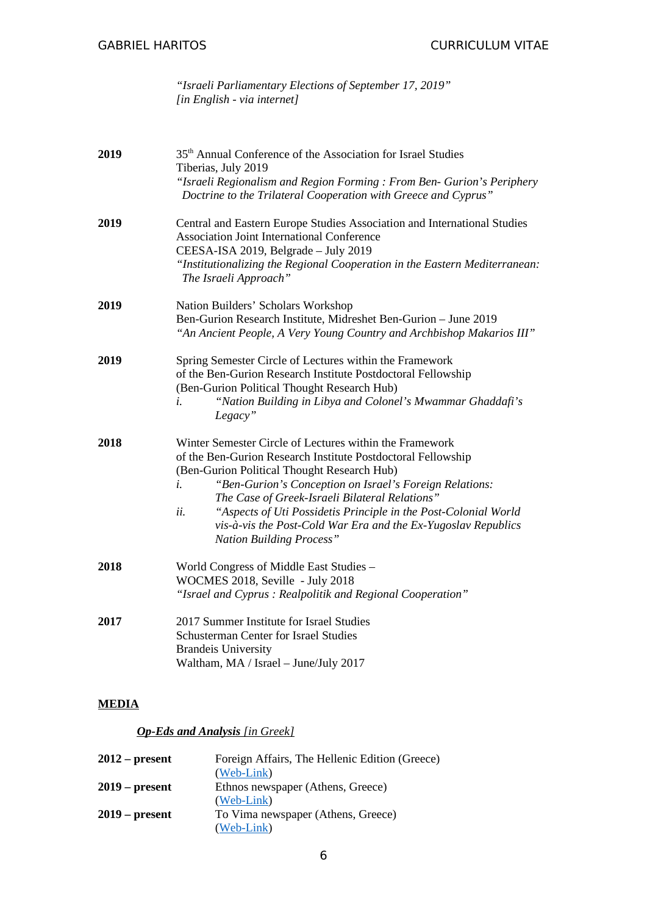*"Israeli Parliamentary Elections of September 17, 2019" [in English - via internet]*

| 2019 | 35 <sup>th</sup> Annual Conference of the Association for Israel Studies<br>Tiberias, July 2019<br>"Israeli Regionalism and Region Forming: From Ben- Gurion's Periphery<br>Doctrine to the Trilateral Cooperation with Greece and Cyprus"                                                                                                                                                                                                                              |  |
|------|-------------------------------------------------------------------------------------------------------------------------------------------------------------------------------------------------------------------------------------------------------------------------------------------------------------------------------------------------------------------------------------------------------------------------------------------------------------------------|--|
| 2019 | Central and Eastern Europe Studies Association and International Studies<br><b>Association Joint International Conference</b><br>CEESA-ISA 2019, Belgrade - July 2019<br>"Institutionalizing the Regional Cooperation in the Eastern Mediterranean:<br>The Israeli Approach"                                                                                                                                                                                            |  |
| 2019 | Nation Builders' Scholars Workshop<br>Ben-Gurion Research Institute, Midreshet Ben-Gurion - June 2019<br>"An Ancient People, A Very Young Country and Archbishop Makarios III"                                                                                                                                                                                                                                                                                          |  |
| 2019 | Spring Semester Circle of Lectures within the Framework<br>of the Ben-Gurion Research Institute Postdoctoral Fellowship<br>(Ben-Gurion Political Thought Research Hub)<br>"Nation Building in Libya and Colonel's Mwammar Ghaddafi's<br>i.<br>Legacy"                                                                                                                                                                                                                   |  |
| 2018 | Winter Semester Circle of Lectures within the Framework<br>of the Ben-Gurion Research Institute Postdoctoral Fellowship<br>(Ben-Gurion Political Thought Research Hub)<br>"Ben-Gurion's Conception on Israel's Foreign Relations:<br>i.<br>The Case of Greek-Israeli Bilateral Relations"<br>"Aspects of Uti Possidetis Principle in the Post-Colonial World<br>ii.<br>vis-à-vis the Post-Cold War Era and the Ex-Yugoslav Republics<br><b>Nation Building Process"</b> |  |
| 2018 | World Congress of Middle East Studies -<br>WOCMES 2018, Seville - July 2018<br>"Israel and Cyprus: Realpolitik and Regional Cooperation"                                                                                                                                                                                                                                                                                                                                |  |
| 2017 | 2017 Summer Institute for Israel Studies<br>Schusterman Center for Israel Studies<br><b>Brandeis University</b><br>Waltham, MA / Israel - June/July 2017                                                                                                                                                                                                                                                                                                                |  |

# **MEDIA**

# *Op-Eds and Analysis [in Greek]*

| $2012$ – present | Foreign Affairs, The Hellenic Edition (Greece) |
|------------------|------------------------------------------------|
|                  | (Web-Link)                                     |
| $2019$ – present | Ethnos newspaper (Athens, Greece)              |
|                  | (Web-Link)                                     |
| $2019$ – present | To Vima newspaper (Athens, Greece)             |
|                  | (Web-Link)                                     |